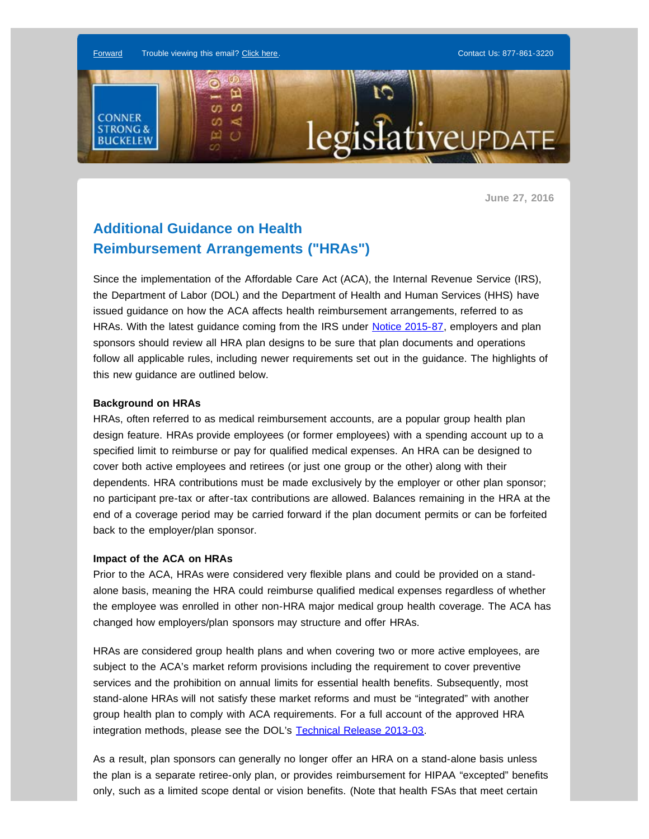[Forward](http://enews.connerstrongbuckelew.com/q/vLiKzhrAi7aiAneDjNcokKDyJXkEYbTQ1KoE3_zxqoe9D9mJOSmCmS9mT) Trouble viewing this email? [Click here.](http://enews.connerstrongbuckelew.com/q/GZNosZWxNSoNCJEdQyXfuPdWQgMA6rybLBBwSBnUKIw_7_vQR-mv9H_vX) Contact Us: [877-861-3220](tel:8778613220) Ξ  $\omega$ m **CONNER** ⋖ s legi *slative* up DAT **STRONG&** ω  $\circ$ **BUCKELEW** 

**June 27, 2016**

# **Additional Guidance on Health Reimbursement Arrangements ("HRAs")**

Since the implementation of the Affordable Care Act (ACA), the Internal Revenue Service (IRS), the Department of Labor (DOL) and the Department of Health and Human Services (HHS) have issued guidance on how the ACA affects health reimbursement arrangements, referred to as HRAs. With the latest guidance coming from the IRS under [Notice 2015-87,](http://enews.connerstrongbuckelew.com/q/8HyLWKKYyaGyYIfwFnbj4bwYHmdnfxUx15RBuOVnhV9lml7GfpSQD5l7f) employers and plan sponsors should review all HRA plan designs to be sure that plan documents and operations follow all applicable rules, including newer requirements set out in the guidance. The highlights of this new guidance are outlined below.

#### **Background on HRAs**

HRAs, often referred to as medical reimbursement accounts, are a popular group health plan design feature. HRAs provide employees (or former employees) with a spending account up to a specified limit to reimburse or pay for qualified medical expenses. An HRA can be designed to cover both active employees and retirees (or just one group or the other) along with their dependents. HRA contributions must be made exclusively by the employer or other plan sponsor; no participant pre-tax or after-tax contributions are allowed. Balances remaining in the HRA at the end of a coverage period may be carried forward if the plan document permits or can be forfeited back to the employer/plan sponsor.

## **Impact of the ACA on HRAs**

Prior to the ACA, HRAs were considered very flexible plans and could be provided on a standalone basis, meaning the HRA could reimburse qualified medical expenses regardless of whether the employee was enrolled in other non-HRA major medical group health coverage. The ACA has changed how employers/plan sponsors may structure and offer HRAs.

HRAs are considered group health plans and when covering two or more active employees, are subject to the ACA's market reform provisions including the requirement to cover preventive services and the prohibition on annual limits for essential health benefits. Subsequently, most stand-alone HRAs will not satisfy these market reforms and must be "integrated" with another group health plan to comply with ACA requirements. For a full account of the approved HRA integration methods, please see the DOL's [Technical Release 2013-03](http://enews.connerstrongbuckelew.com/q/2g5VvzXe5wG5e0itXxSXY7tVpK_yYWPb-E6c-g0wEUZfbfNG616GlSfNp).

As a result, plan sponsors can generally no longer offer an HRA on a stand-alone basis unless the plan is a separate retiree-only plan, or provides reimbursement for HIPAA "excepted" benefits only, such as a limited scope dental or vision benefits. (Note that health FSAs that meet certain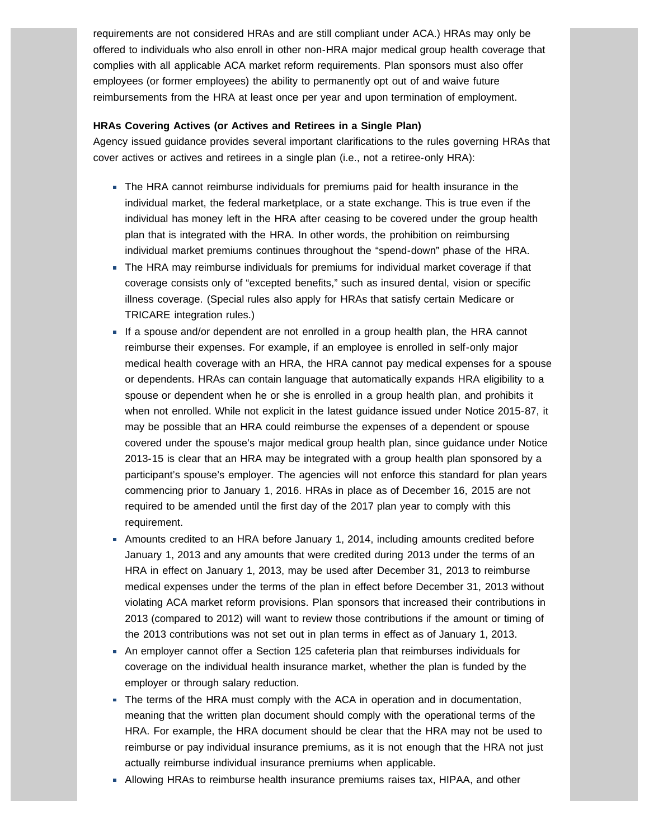requirements are not considered HRAs and are still compliant under ACA.) HRAs may only be offered to individuals who also enroll in other non-HRA major medical group health coverage that complies with all applicable ACA market reform requirements. Plan sponsors must also offer employees (or former employees) the ability to permanently opt out of and waive future reimbursements from the HRA at least once per year and upon termination of employment.

### **HRAs Covering Actives (or Actives and Retirees in a Single Plan)**

Agency issued guidance provides several important clarifications to the rules governing HRAs that cover actives or actives and retirees in a single plan (i.e., not a retiree-only HRA):

- The HRA cannot reimburse individuals for premiums paid for health insurance in the individual market, the federal marketplace, or a state exchange. This is true even if the individual has money left in the HRA after ceasing to be covered under the group health plan that is integrated with the HRA. In other words, the prohibition on reimbursing individual market premiums continues throughout the "spend-down" phase of the HRA.
- The HRA may reimburse individuals for premiums for individual market coverage if that coverage consists only of "excepted benefits," such as insured dental, vision or specific illness coverage. (Special rules also apply for HRAs that satisfy certain Medicare or TRICARE integration rules.)
- If a spouse and/or dependent are not enrolled in a group health plan, the HRA cannot reimburse their expenses. For example, if an employee is enrolled in self-only major medical health coverage with an HRA, the HRA cannot pay medical expenses for a spouse or dependents. HRAs can contain language that automatically expands HRA eligibility to a spouse or dependent when he or she is enrolled in a group health plan, and prohibits it when not enrolled. While not explicit in the latest guidance issued under Notice 2015-87, it may be possible that an HRA could reimburse the expenses of a dependent or spouse covered under the spouse's major medical group health plan, since guidance under Notice 2013-15 is clear that an HRA may be integrated with a group health plan sponsored by a participant's spouse's employer. The agencies will not enforce this standard for plan years commencing prior to January 1, 2016. HRAs in place as of December 16, 2015 are not required to be amended until the first day of the 2017 plan year to comply with this requirement.
- Amounts credited to an HRA before January 1, 2014, including amounts credited before January 1, 2013 and any amounts that were credited during 2013 under the terms of an HRA in effect on January 1, 2013, may be used after December 31, 2013 to reimburse medical expenses under the terms of the plan in effect before December 31, 2013 without violating ACA market reform provisions. Plan sponsors that increased their contributions in 2013 (compared to 2012) will want to review those contributions if the amount or timing of the 2013 contributions was not set out in plan terms in effect as of January 1, 2013.
- An employer cannot offer a Section 125 cafeteria plan that reimburses individuals for coverage on the individual health insurance market, whether the plan is funded by the employer or through salary reduction.
- The terms of the HRA must comply with the ACA in operation and in documentation, meaning that the written plan document should comply with the operational terms of the HRA. For example, the HRA document should be clear that the HRA may not be used to reimburse or pay individual insurance premiums, as it is not enough that the HRA not just actually reimburse individual insurance premiums when applicable.
- Allowing HRAs to reimburse health insurance premiums raises tax, HIPAA, and other